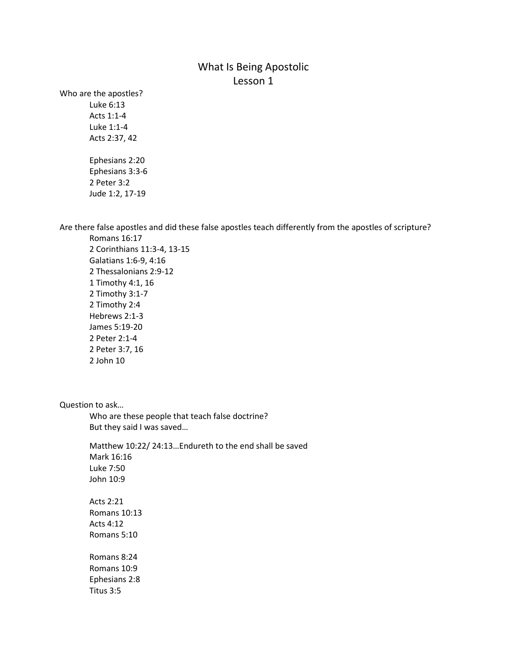## What Is Being Apostolic Lesson 1

Who are the apostles?

Luke 6:13 Acts 1:1-4 Luke 1:1-4 Acts 2:37, 42

Ephesians 2:20 Ephesians 3:3-6 2 Peter 3:2 Jude 1:2, 17-19

Are there false apostles and did these false apostles teach differently from the apostles of scripture?

Romans 16:17 2 Corinthians 11:3-4, 13-15 Galatians 1:6-9, 4:16 2 Thessalonians 2:9-12 1 Timothy 4:1, 16 2 Timothy 3:1-7 2 Timothy 2:4 Hebrews 2:1-3 James 5:19-20 2 Peter 2:1-4 2 Peter 3:7, 16 2 John 10

Question to ask…

Who are these people that teach false doctrine? But they said I was saved…

Matthew 10:22/ 24:13…Endureth to the end shall be saved Mark 16:16 Luke 7:50 John 10:9 Acts 2:21 Romans 10:13 Acts 4:12

Romans 5:10 Romans 8:24 Romans 10:9 Ephesians 2:8 Titus 3:5